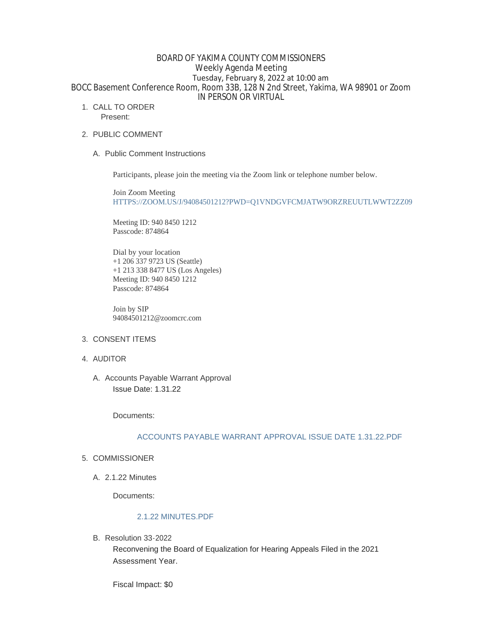# BOARD OF YAKIMA COUNTY COMMISSIONERS Weekly Agenda Meeting Tuesday, February 8, 2022 at 10:00 am BOCC Basement Conference Room, Room 33B, 128 N 2nd Street, Yakima, WA 98901 or Zoom IN PERSON OR VIRTUAL

1. CALL TO ORDER

Present:

- 2. PUBLIC COMMENT
	- A. Public Comment Instructions

Participants, please join the meeting via the Zoom link or telephone number below.

Join Zoom Meeting [HTTPS://ZOOM.US/J/94084501212?PWD=Q1VNDGVFCMJATW9ORZREUUTLWWT2ZZ09](https://zoom.us/j/94084501212?pwd=Q1VNdGVFcmJaTW9ORzREUUtlWWt2Zz09)

Meeting ID: 940 8450 1212 Passcode: 874864

Dial by your location +1 206 337 9723 US (Seattle) +1 213 338 8477 US (Los Angeles) Meeting ID: 940 8450 1212 Passcode: 874864

Join by SIP 94084501212@zoomcrc.com

- 3. CONSENT ITEMS
- 4. AUDITOR

A. Accounts Payable Warrant Approval Issue Date: 1.31.22

Documents:

# [ACCOUNTS PAYABLE WARRANT APPROVAL ISSUE DATE 1.31.22.PDF](https://www.yakimacounty.us/AgendaCenter/ViewFile/Item/3802?fileID=15621)

- 5. COMMISSIONER
	- 2.1.22 Minutes A.

Documents:

## [2.1.22 MINUTES.PDF](https://www.yakimacounty.us/AgendaCenter/ViewFile/Item/3794?fileID=15613)

B. Resolution 33-2022

Reconvening the Board of Equalization for Hearing Appeals Filed in the 2021 Assessment Year.

Fiscal Impact: \$0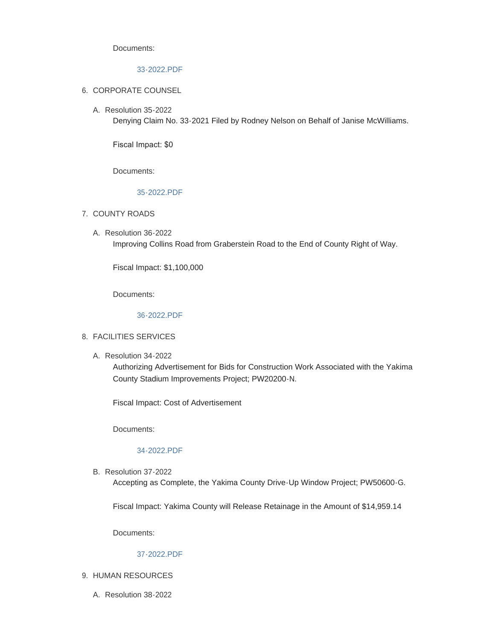Documents:

# [33-2022.PDF](https://www.yakimacounty.us/AgendaCenter/ViewFile/Item/3795?fileID=15614)

- 6. CORPORATE COUNSEL
	- Resolution 35-2022 A.

Denying Claim No. 33-2021 Filed by Rodney Nelson on Behalf of Janise McWilliams.

Fiscal Impact: \$0

Documents:

## [35-2022.PDF](https://www.yakimacounty.us/AgendaCenter/ViewFile/Item/3797?fileID=15616)

- 7. COUNTY ROADS
	- Resolution 36-2022 A. Improving Collins Road from Graberstein Road to the End of County Right of Way.

Fiscal Impact: \$1,100,000

Documents:

## [36-2022.PDF](https://www.yakimacounty.us/AgendaCenter/ViewFile/Item/3798?fileID=15617)

### FACILITIES SERVICES 8.

A. Resolution 34-2022

Authorizing Advertisement for Bids for Construction Work Associated with the Yakima County Stadium Improvements Project; PW20200-N.

Fiscal Impact: Cost of Advertisement

Documents:

### [34-2022.PDF](https://www.yakimacounty.us/AgendaCenter/ViewFile/Item/3796?fileID=15615)

B. Resolution 37-2022

Accepting as Complete, the Yakima County Drive-Up Window Project; PW50600-G.

Fiscal Impact: Yakima County will Release Retainage in the Amount of \$14,959.14

Documents:

## [37-2022.PDF](https://www.yakimacounty.us/AgendaCenter/ViewFile/Item/3799?fileID=15618)

- 9. HUMAN RESOURCES
	- Resolution 38-2022 A.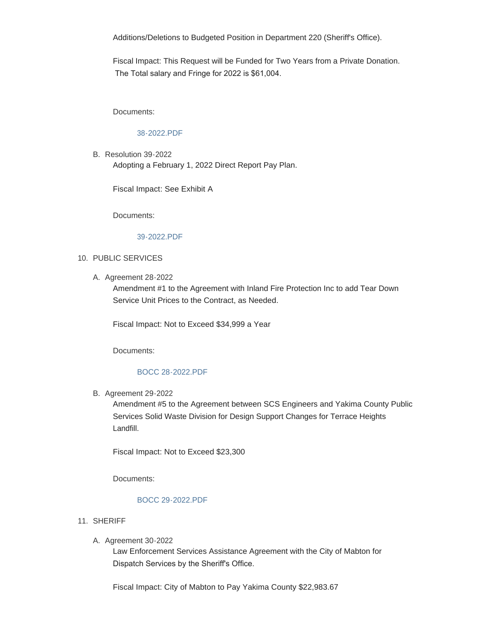Additions/Deletions to Budgeted Position in Department 220 (Sheriff's Office).

Fiscal Impact: This Request will be Funded for Two Years from a Private Donation. The Total salary and Fringe for 2022 is \$61,004.

Documents:

# [38-2022.PDF](https://www.yakimacounty.us/AgendaCenter/ViewFile/Item/3800?fileID=15619)

B. Resolution 39-2022 Adopting a February 1, 2022 Direct Report Pay Plan.

Fiscal Impact: See Exhibit A

Documents:

#### [39-2022.PDF](https://www.yakimacounty.us/AgendaCenter/ViewFile/Item/3801?fileID=15620)

#### 10. PUBLIC SERVICES

A. Agreement 28-2022

Amendment #1 to the Agreement with Inland Fire Protection Inc to add Tear Down Service Unit Prices to the Contract, as Needed.

Fiscal Impact: Not to Exceed \$34,999 a Year

Documents:

### [BOCC 28-2022.PDF](https://www.yakimacounty.us/AgendaCenter/ViewFile/Item/3803?fileID=15622)

**B.** Agreement 29-2022

Amendment #5 to the Agreement between SCS Engineers and Yakima County Public Services Solid Waste Division for Design Support Changes for Terrace Heights Landfill.

Fiscal Impact: Not to Exceed \$23,300

Documents:

#### [BOCC 29-2022.PDF](https://www.yakimacounty.us/AgendaCenter/ViewFile/Item/3804?fileID=15623)

- 11. SHERIFF
	- A. Agreement 30-2022

Law Enforcement Services Assistance Agreement with the City of Mabton for Dispatch Services by the Sheriff's Office.

Fiscal Impact: City of Mabton to Pay Yakima County \$22,983.67